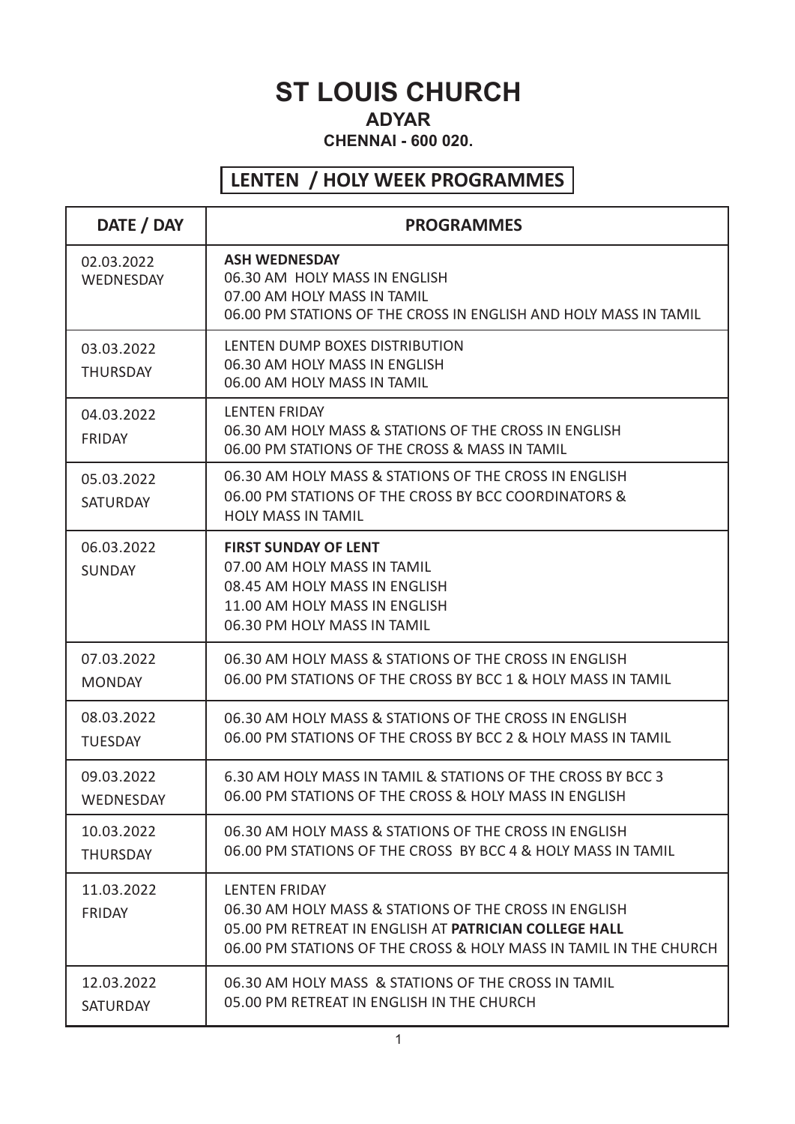# **ST LOUIS CHURCH**

#### ADIAN<br>BRITICA **CHENNAI - 600 020.**

#### **LENTEN / HOLY WEEK PROGRAMMES**

| DATE / DAY                    | <b>PROGRAMMES</b>                                                                                                                                                                                                  |  |
|-------------------------------|--------------------------------------------------------------------------------------------------------------------------------------------------------------------------------------------------------------------|--|
| 02.03.2022<br>WEDNESDAY       | <b>ASH WEDNESDAY</b><br>06.30 AM HOLY MASS IN ENGLISH<br>07.00 AM HOLY MASS IN TAMIL<br>06.00 PM STATIONS OF THE CROSS IN ENGLISH AND HOLY MASS IN TAMIL                                                           |  |
| 03.03.2022<br><b>THURSDAY</b> | LENTEN DUMP BOXES DISTRIBUTION<br>06.30 AM HOLY MASS IN ENGLISH<br>06.00 AM HOLY MASS IN TAMIL                                                                                                                     |  |
| 04.03.2022<br><b>FRIDAY</b>   | <b>LENTEN FRIDAY</b><br>06.30 AM HOLY MASS & STATIONS OF THE CROSS IN ENGLISH<br>06.00 PM STATIONS OF THE CROSS & MASS IN TAMIL                                                                                    |  |
| 05.03.2022<br><b>SATURDAY</b> | 06.30 AM HOLY MASS & STATIONS OF THE CROSS IN ENGLISH<br>06.00 PM STATIONS OF THE CROSS BY BCC COORDINATORS &<br><b>HOLY MASS IN TAMIL</b>                                                                         |  |
| 06.03.2022<br><b>SUNDAY</b>   | <b>FIRST SUNDAY OF LENT</b><br>07.00 AM HOLY MASS IN TAMIL<br>08.45 AM HOLY MASS IN ENGLISH<br>11.00 AM HOLY MASS IN ENGLISH<br>06.30 PM HOLY MASS IN TAMIL                                                        |  |
| 07.03.2022<br><b>MONDAY</b>   | 06.30 AM HOLY MASS & STATIONS OF THE CROSS IN ENGLISH<br>06.00 PM STATIONS OF THE CROSS BY BCC 1 & HOLY MASS IN TAMIL                                                                                              |  |
| 08.03.2022<br><b>TUESDAY</b>  | 06.30 AM HOLY MASS & STATIONS OF THE CROSS IN ENGLISH<br>06.00 PM STATIONS OF THE CROSS BY BCC 2 & HOLY MASS IN TAMIL                                                                                              |  |
| 09.03.2022<br>WEDNESDAY       | 6.30 AM HOLY MASS IN TAMIL & STATIONS OF THE CROSS BY BCC 3<br>06.00 PM STATIONS OF THE CROSS & HOLY MASS IN ENGLISH                                                                                               |  |
| 10.03.2022<br><b>THURSDAY</b> | 06.30 AM HOLY MASS & STATIONS OF THE CROSS IN ENGLISH<br>06.00 PM STATIONS OF THE CROSS BY BCC 4 & HOLY MASS IN TAMIL                                                                                              |  |
| 11.03.2022<br>FRIDAY          | <b>LENTEN FRIDAY</b><br>06.30 AM HOLY MASS & STATIONS OF THE CROSS IN ENGLISH<br>05.00 PM RETREAT IN ENGLISH AT <b>PATRICIAN COLLEGE HALL</b><br>06.00 PM STATIONS OF THE CROSS & HOLY MASS IN TAMIL IN THE CHURCH |  |
| 12.03.2022<br><b>SATURDAY</b> | 06.30 AM HOLY MASS & STATIONS OF THE CROSS IN TAMIL<br>05.00 PM RETREAT IN ENGLISH IN THE CHURCH                                                                                                                   |  |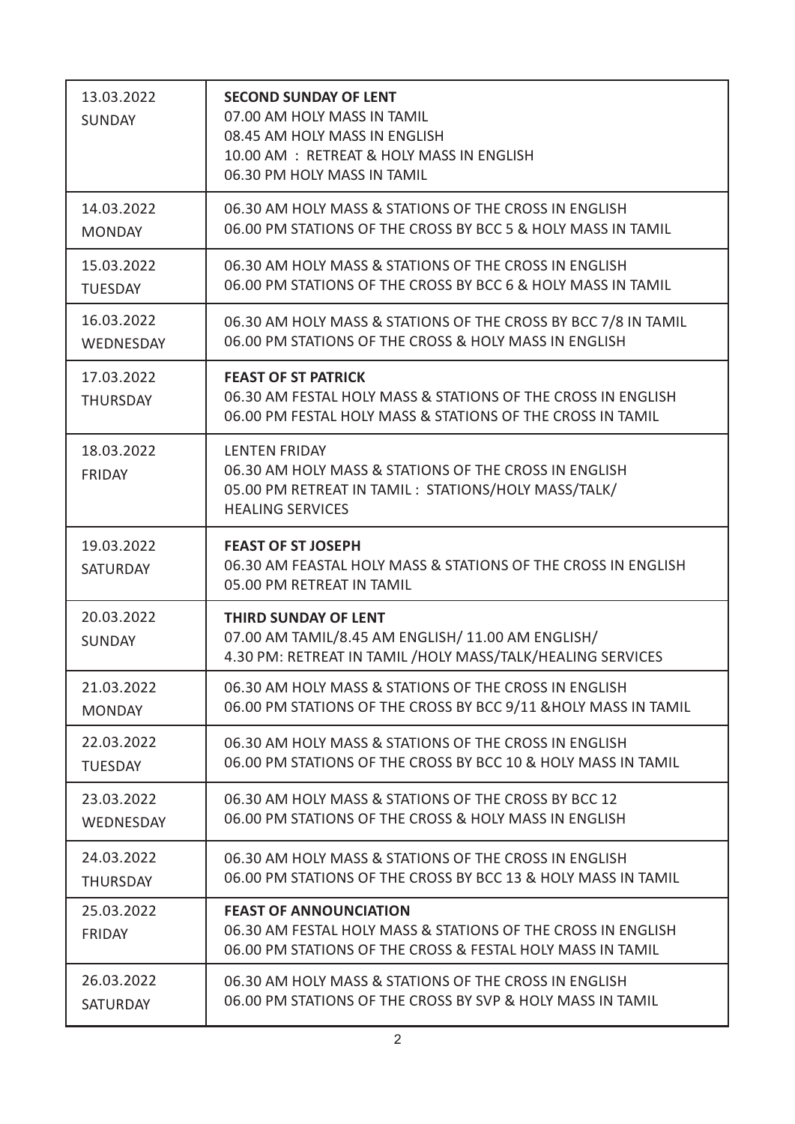| 13.03.2022<br><b>SUNDAY</b>   | <b>SECOND SUNDAY OF LENT</b><br>07.00 AM HOLY MASS IN TAMIL<br>08.45 AM HOLY MASS IN ENGLISH<br>10.00 AM : RETREAT & HOLY MASS IN ENGLISH<br>06.30 PM HOLY MASS IN TAMIL |
|-------------------------------|--------------------------------------------------------------------------------------------------------------------------------------------------------------------------|
| 14.03.2022                    | 06.30 AM HOLY MASS & STATIONS OF THE CROSS IN ENGLISH                                                                                                                    |
| <b>MONDAY</b>                 | 06.00 PM STATIONS OF THE CROSS BY BCC 5 & HOLY MASS IN TAMIL                                                                                                             |
| 15.03.2022                    | 06.30 AM HOLY MASS & STATIONS OF THE CROSS IN ENGLISH                                                                                                                    |
| <b>TUESDAY</b>                | 06.00 PM STATIONS OF THE CROSS BY BCC 6 & HOLY MASS IN TAMIL                                                                                                             |
| 16.03.2022                    | 06.30 AM HOLY MASS & STATIONS OF THE CROSS BY BCC 7/8 IN TAMIL                                                                                                           |
| WEDNESDAY                     | 06.00 PM STATIONS OF THE CROSS & HOLY MASS IN ENGLISH                                                                                                                    |
| 17.03.2022<br><b>THURSDAY</b> | <b>FEAST OF ST PATRICK</b><br>06.30 AM FESTAL HOLY MASS & STATIONS OF THE CROSS IN ENGLISH<br>06.00 PM FESTAL HOLY MASS & STATIONS OF THE CROSS IN TAMIL                 |
| 18.03.2022<br><b>FRIDAY</b>   | <b>LENTEN FRIDAY</b><br>06.30 AM HOLY MASS & STATIONS OF THE CROSS IN ENGLISH<br>05.00 PM RETREAT IN TAMIL : STATIONS/HOLY MASS/TALK/<br><b>HEALING SERVICES</b>         |
| 19.03.2022<br><b>SATURDAY</b> | <b>FEAST OF ST JOSEPH</b><br>06.30 AM FEASTAL HOLY MASS & STATIONS OF THE CROSS IN ENGLISH<br>05.00 PM RETREAT IN TAMIL                                                  |
| 20.03.2022<br><b>SUNDAY</b>   | <b>THIRD SUNDAY OF LENT</b><br>07.00 AM TAMIL/8.45 AM ENGLISH/11.00 AM ENGLISH/<br>4.30 PM: RETREAT IN TAMIL /HOLY MASS/TALK/HEALING SERVICES                            |
| 21.03.2022                    | 06.30 AM HOLY MASS & STATIONS OF THE CROSS IN ENGLISH                                                                                                                    |
| <b>MONDAY</b>                 | 06.00 PM STATIONS OF THE CROSS BY BCC 9/11 & HOLY MASS IN TAMIL                                                                                                          |
| 22.03.2022                    | 06.30 AM HOLY MASS & STATIONS OF THE CROSS IN ENGLISH                                                                                                                    |
| <b>TUESDAY</b>                | 06.00 PM STATIONS OF THE CROSS BY BCC 10 & HOLY MASS IN TAMIL                                                                                                            |
| 23.03.2022                    | 06.30 AM HOLY MASS & STATIONS OF THE CROSS BY BCC 12                                                                                                                     |
| WEDNESDAY                     | 06.00 PM STATIONS OF THE CROSS & HOLY MASS IN ENGLISH                                                                                                                    |
| 24.03.2022                    | 06.30 AM HOLY MASS & STATIONS OF THE CROSS IN ENGLISH                                                                                                                    |
| <b>THURSDAY</b>               | 06.00 PM STATIONS OF THE CROSS BY BCC 13 & HOLY MASS IN TAMIL                                                                                                            |
| 25.03.2022<br>FRIDAY          | <b>FEAST OF ANNOUNCIATION</b><br>06.30 AM FESTAL HOLY MASS & STATIONS OF THE CROSS IN ENGLISH<br>06.00 PM STATIONS OF THE CROSS & FESTAL HOLY MASS IN TAMIL              |
| 26.03.2022                    | 06.30 AM HOLY MASS & STATIONS OF THE CROSS IN ENGLISH                                                                                                                    |
| <b>SATURDAY</b>               | 06.00 PM STATIONS OF THE CROSS BY SVP & HOLY MASS IN TAMIL                                                                                                               |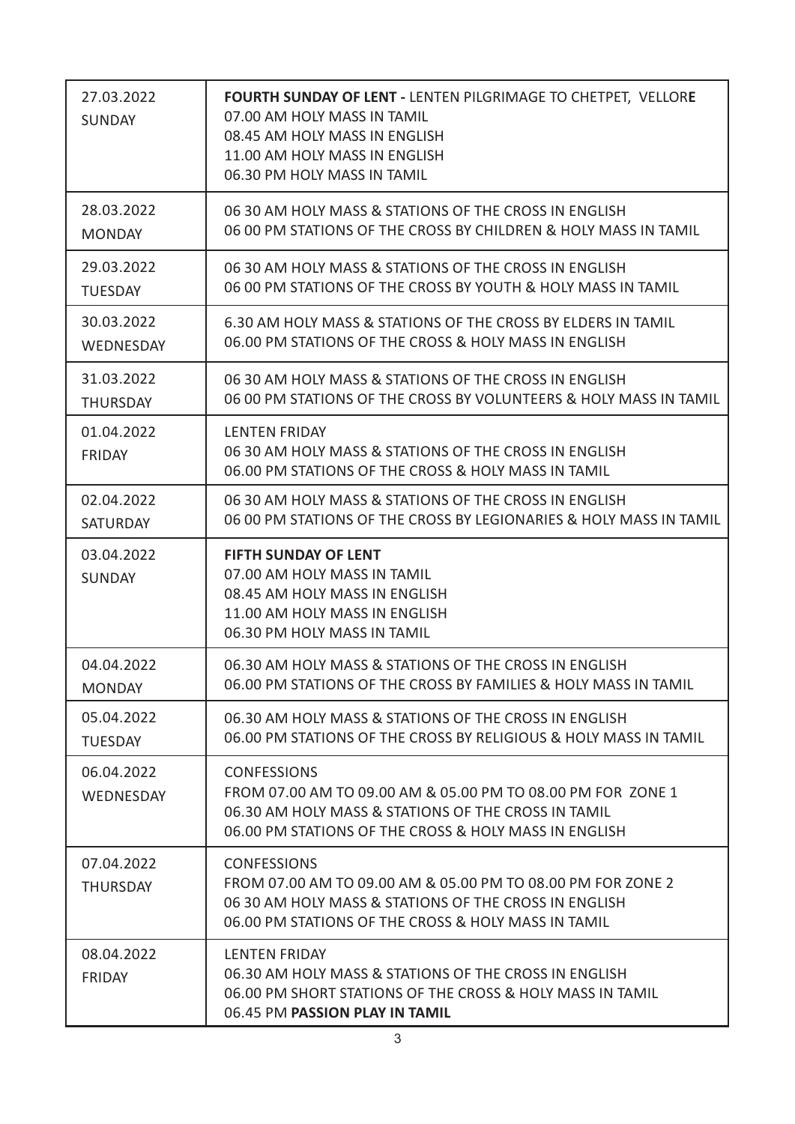| 27.03.2022<br><b>SUNDAY</b>   | <b>FOURTH SUNDAY OF LENT - LENTEN PILGRIMAGE TO CHETPET, VELLORE</b><br>07.00 AM HOLY MASS IN TAMIL<br>08.45 AM HOLY MASS IN ENGLISH<br>11.00 AM HOLY MASS IN ENGLISH<br>06.30 PM HOLY MASS IN TAMIL |  |
|-------------------------------|------------------------------------------------------------------------------------------------------------------------------------------------------------------------------------------------------|--|
| 28.03.2022                    | 06 30 AM HOLY MASS & STATIONS OF THE CROSS IN ENGLISH                                                                                                                                                |  |
| <b>MONDAY</b>                 | 06 00 PM STATIONS OF THE CROSS BY CHILDREN & HOLY MASS IN TAMIL                                                                                                                                      |  |
| 29.03.2022                    | 06 30 AM HOLY MASS & STATIONS OF THE CROSS IN ENGLISH                                                                                                                                                |  |
| <b>TUESDAY</b>                | 06 00 PM STATIONS OF THE CROSS BY YOUTH & HOLY MASS IN TAMIL                                                                                                                                         |  |
| 30.03.2022                    | 6.30 AM HOLY MASS & STATIONS OF THE CROSS BY ELDERS IN TAMIL                                                                                                                                         |  |
| <b>WEDNESDAY</b>              | 06.00 PM STATIONS OF THE CROSS & HOLY MASS IN ENGLISH                                                                                                                                                |  |
| 31.03.2022                    | 06 30 AM HOLY MASS & STATIONS OF THE CROSS IN ENGLISH                                                                                                                                                |  |
| <b>THURSDAY</b>               | 06 00 PM STATIONS OF THE CROSS BY VOLUNTEERS & HOLY MASS IN TAMIL                                                                                                                                    |  |
| 01.04.2022<br><b>FRIDAY</b>   | <b>LENTEN FRIDAY</b><br>06 30 AM HOLY MASS & STATIONS OF THE CROSS IN ENGLISH<br>06.00 PM STATIONS OF THE CROSS & HOLY MASS IN TAMIL                                                                 |  |
| 02.04.2022                    | 06 30 AM HOLY MASS & STATIONS OF THE CROSS IN ENGLISH                                                                                                                                                |  |
| <b>SATURDAY</b>               | 06 00 PM STATIONS OF THE CROSS BY LEGIONARIES & HOLY MASS IN TAMIL                                                                                                                                   |  |
| 03.04.2022<br><b>SUNDAY</b>   | <b>FIFTH SUNDAY OF LENT</b><br>07.00 AM HOLY MASS IN TAMIL<br>08.45 AM HOLY MASS IN ENGLISH<br>11.00 AM HOLY MASS IN ENGLISH<br>06.30 PM HOLY MASS IN TAMIL                                          |  |
| 04.04.2022                    | 06.30 AM HOLY MASS & STATIONS OF THE CROSS IN ENGLISH                                                                                                                                                |  |
| <b>MONDAY</b>                 | 06.00 PM STATIONS OF THE CROSS BY FAMILIES & HOLY MASS IN TAMIL                                                                                                                                      |  |
| 05.04.2022                    | 06.30 AM HOLY MASS & STATIONS OF THE CROSS IN ENGLISH                                                                                                                                                |  |
| <b>TUESDAY</b>                | 06.00 PM STATIONS OF THE CROSS BY RELIGIOUS & HOLY MASS IN TAMIL                                                                                                                                     |  |
| 06.04.2022<br>WEDNESDAY       | <b>CONFESSIONS</b><br>FROM 07.00 AM TO 09.00 AM & 05.00 PM TO 08.00 PM FOR ZONE 1<br>06.30 AM HOLY MASS & STATIONS OF THE CROSS IN TAMIL<br>06.00 PM STATIONS OF THE CROSS & HOLY MASS IN ENGLISH    |  |
| 07.04.2022<br><b>THURSDAY</b> | <b>CONFESSIONS</b><br>FROM 07.00 AM TO 09.00 AM & 05.00 PM TO 08.00 PM FOR ZONE 2<br>06 30 AM HOLY MASS & STATIONS OF THE CROSS IN ENGLISH<br>06.00 PM STATIONS OF THE CROSS & HOLY MASS IN TAMIL    |  |
| 08.04.2022<br><b>FRIDAY</b>   | <b>LENTEN FRIDAY</b><br>06.30 AM HOLY MASS & STATIONS OF THE CROSS IN ENGLISH<br>06.00 PM SHORT STATIONS OF THE CROSS & HOLY MASS IN TAMIL<br>06.45 PM PASSION PLAY IN TAMIL                         |  |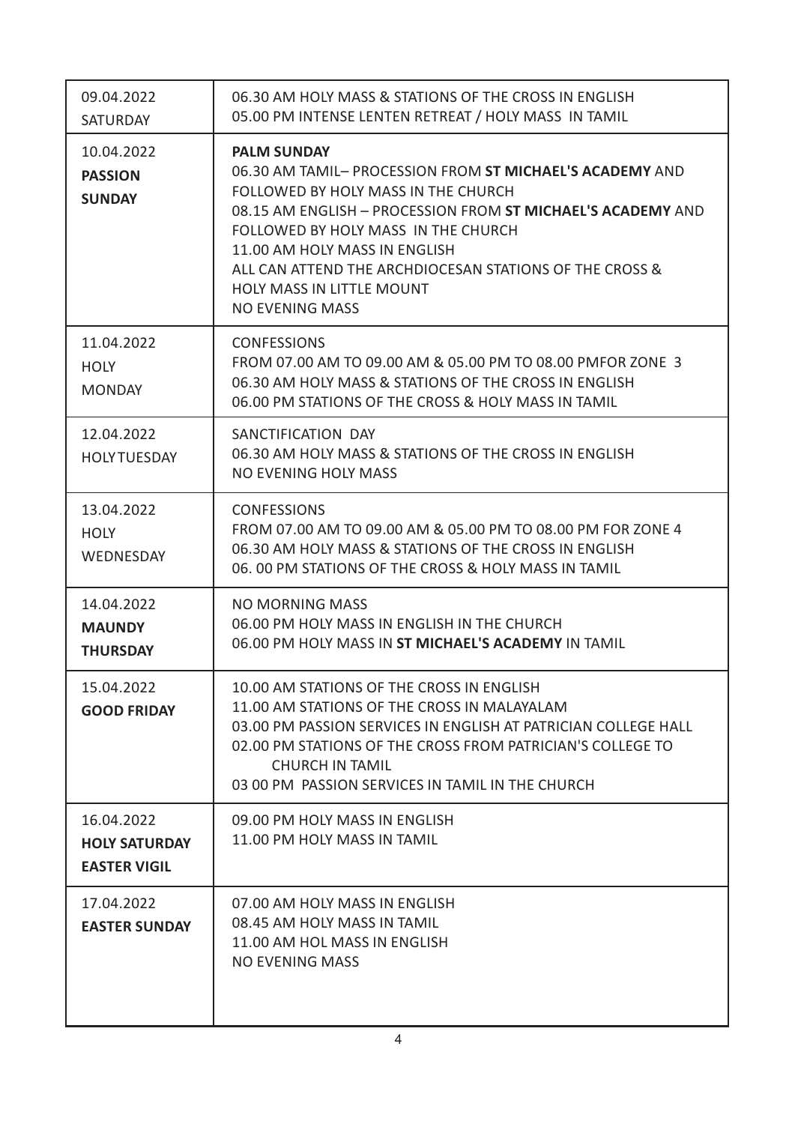| 09.04.2022<br><b>SATURDAY</b>                             | 06.30 AM HOLY MASS & STATIONS OF THE CROSS IN ENGLISH<br>05.00 PM INTENSE LENTEN RETREAT / HOLY MASS IN TAMIL                                                                                                                                                                                                                                                                         |
|-----------------------------------------------------------|---------------------------------------------------------------------------------------------------------------------------------------------------------------------------------------------------------------------------------------------------------------------------------------------------------------------------------------------------------------------------------------|
| 10.04.2022<br><b>PASSION</b><br><b>SUNDAY</b>             | <b>PALM SUNDAY</b><br>06.30 AM TAMIL- PROCESSION FROM ST MICHAEL'S ACADEMY AND<br>FOLLOWED BY HOLY MASS IN THE CHURCH<br>08.15 AM ENGLISH - PROCESSION FROM ST MICHAEL'S ACADEMY AND<br>FOLLOWED BY HOLY MASS IN THE CHURCH<br>11.00 AM HOLY MASS IN ENGLISH<br>ALL CAN ATTEND THE ARCHDIOCESAN STATIONS OF THE CROSS &<br><b>HOLY MASS IN LITTLE MOUNT</b><br><b>NO EVENING MASS</b> |
| 11.04.2022<br><b>HOLY</b><br><b>MONDAY</b>                | <b>CONFESSIONS</b><br>FROM 07.00 AM TO 09.00 AM & 05.00 PM TO 08.00 PMFOR ZONE 3<br>06.30 AM HOLY MASS & STATIONS OF THE CROSS IN ENGLISH<br>06.00 PM STATIONS OF THE CROSS & HOLY MASS IN TAMIL                                                                                                                                                                                      |
| 12.04.2022<br><b>HOLY TUESDAY</b>                         | SANCTIFICATION DAY<br>06.30 AM HOLY MASS & STATIONS OF THE CROSS IN ENGLISH<br><b>NO EVENING HOLY MASS</b>                                                                                                                                                                                                                                                                            |
| 13.04.2022<br><b>HOLY</b><br>WEDNESDAY                    | <b>CONFESSIONS</b><br>FROM 07.00 AM TO 09.00 AM & 05.00 PM TO 08.00 PM FOR ZONE 4<br>06.30 AM HOLY MASS & STATIONS OF THE CROSS IN ENGLISH<br>06.00 PM STATIONS OF THE CROSS & HOLY MASS IN TAMIL                                                                                                                                                                                     |
| 14.04.2022<br><b>MAUNDY</b><br><b>THURSDAY</b>            | <b>NO MORNING MASS</b><br>06.00 PM HOLY MASS IN ENGLISH IN THE CHURCH<br>06.00 PM HOLY MASS IN ST MICHAEL'S ACADEMY IN TAMIL                                                                                                                                                                                                                                                          |
| 15.04.2022<br><b>GOOD FRIDAY</b>                          | 10.00 AM STATIONS OF THE CROSS IN ENGLISH<br>11.00 AM STATIONS OF THE CROSS IN MALAYALAM<br>03.00 PM PASSION SERVICES IN ENGLISH AT PATRICIAN COLLEGE HALL<br>02.00 PM STATIONS OF THE CROSS FROM PATRICIAN'S COLLEGE TO<br><b>CHURCH IN TAMIL</b><br>03 00 PM PASSION SERVICES IN TAMIL IN THE CHURCH                                                                                |
| 16.04.2022<br><b>HOLY SATURDAY</b><br><b>EASTER VIGIL</b> | 09.00 PM HOLY MASS IN ENGLISH<br>11.00 PM HOLY MASS IN TAMIL                                                                                                                                                                                                                                                                                                                          |
| 17.04.2022<br><b>EASTER SUNDAY</b>                        | 07.00 AM HOLY MASS IN ENGLISH<br>08.45 AM HOLY MASS IN TAMIL<br>11.00 AM HOL MASS IN ENGLISH<br><b>NO EVENING MASS</b>                                                                                                                                                                                                                                                                |